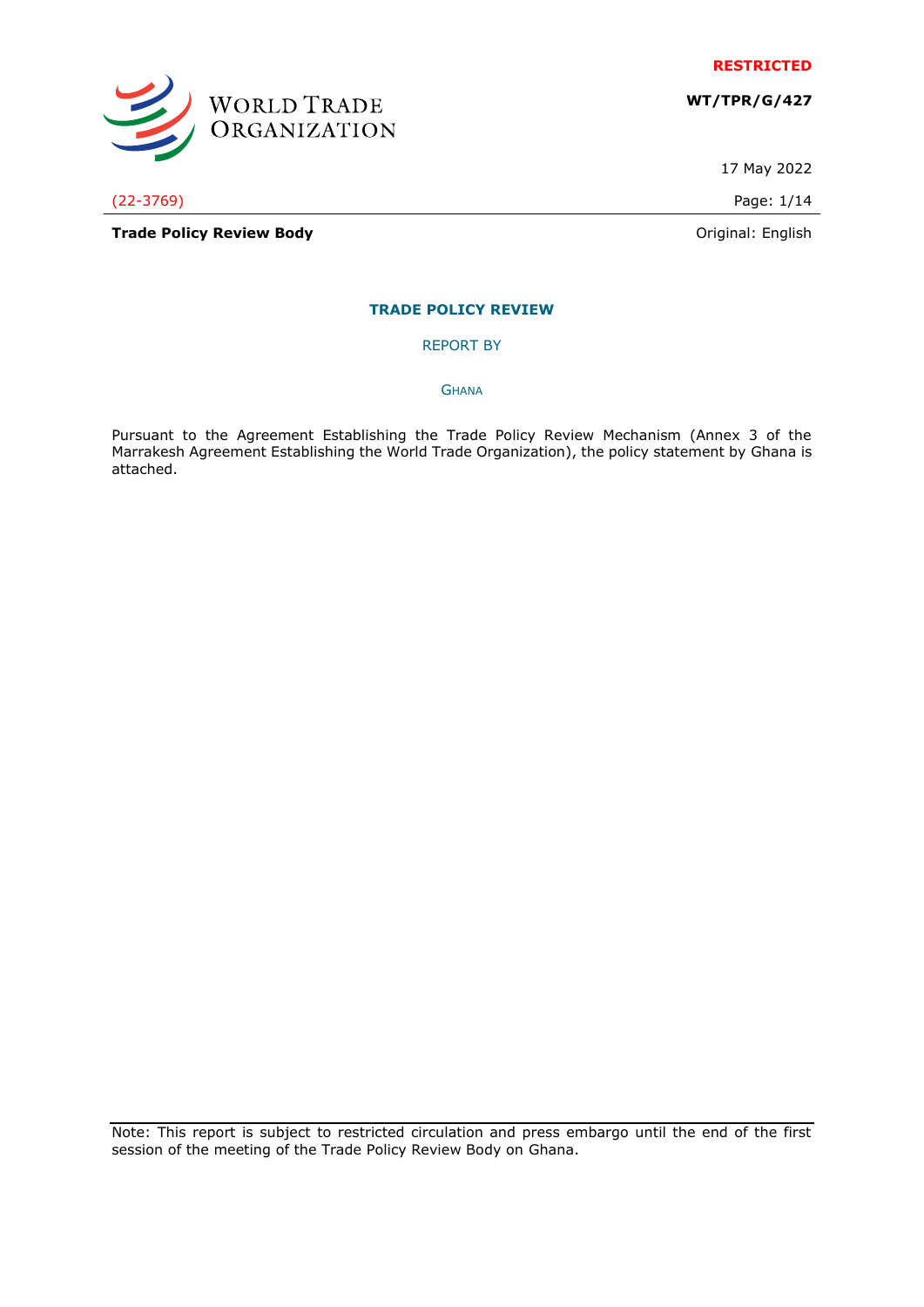

**WT/TPR/G/427**

17 May 2022

(22-3769) Page: 1/14

WORLD TRADE<br>ORGANIZATION

**Trade Policy Review Body Contract Contract Contract Contract Contract Contract Contract Contract Contract Contract Contract Contract Contract Contract Contract Contract Contract Contract Contract Contract Contract Contr** 

# **TRADE POLICY REVIEW**

REPORT BY

**GHANA** 

Pursuant to the Agreement Establishing the Trade Policy Review Mechanism (Annex 3 of the Marrakesh Agreement Establishing the World Trade Organization), the policy statement by Ghana is attached.

Note: This report is subject to restricted circulation and press embargo until the end of the first session of the meeting of the Trade Policy Review Body on Ghana.

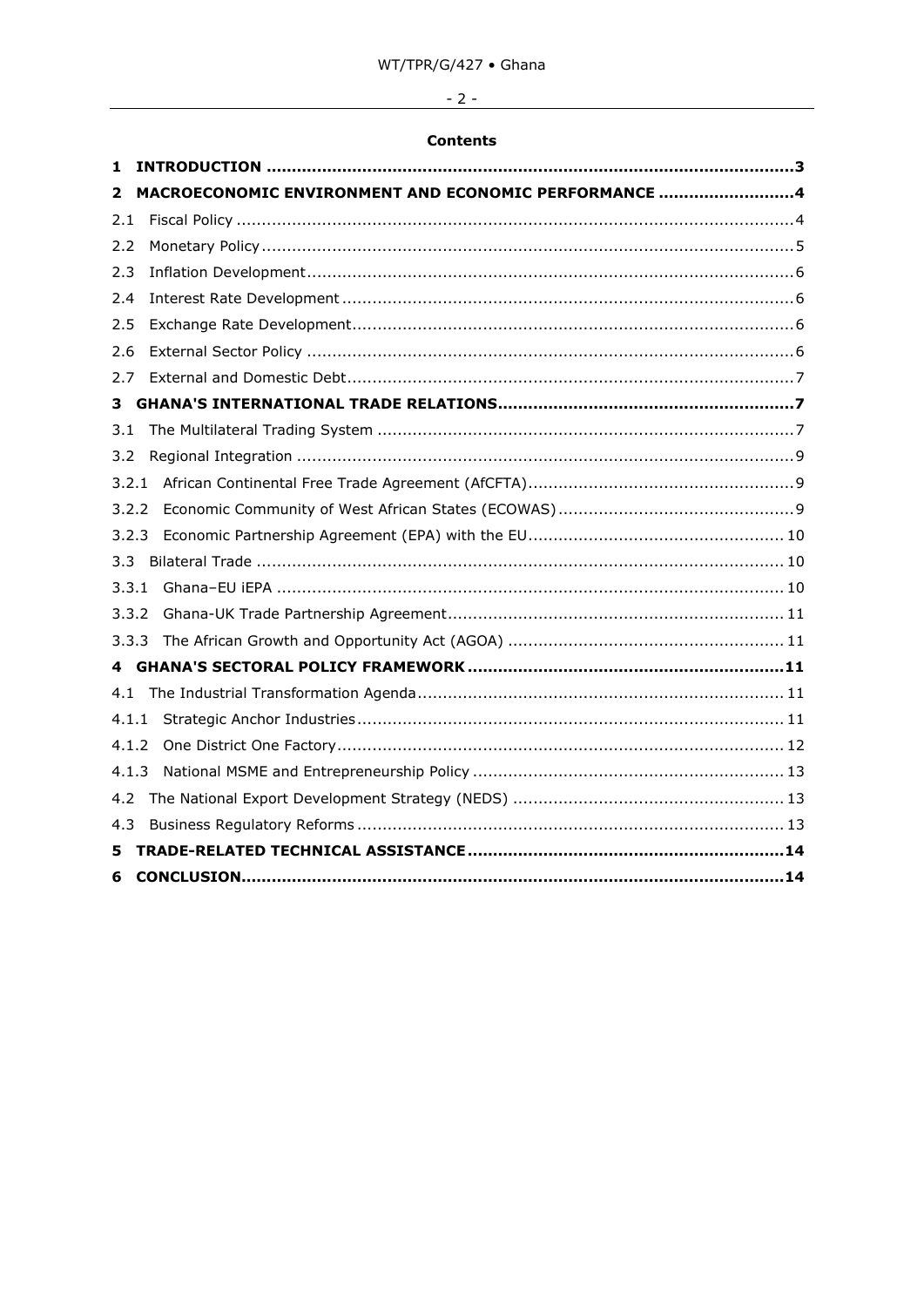# $-2-$

# **Contents**

| 1     |                                                      |
|-------|------------------------------------------------------|
| 2     | MACROECONOMIC ENVIRONMENT AND ECONOMIC PERFORMANCE 4 |
| 2.1   |                                                      |
| 2.2   |                                                      |
| 2.3   |                                                      |
| 2.4   |                                                      |
| 2.5   |                                                      |
| 2.6   |                                                      |
| 2.7   |                                                      |
| 3     |                                                      |
| 3.1   |                                                      |
| 3.2   |                                                      |
| 3.2.1 |                                                      |
| 3.2.2 |                                                      |
| 3.2.3 |                                                      |
| 3.3   |                                                      |
| 3.3.1 |                                                      |
| 3.3.2 |                                                      |
| 3.3.3 |                                                      |
|       |                                                      |
| 4.1   |                                                      |
| 4.1.1 |                                                      |
| 4.1.2 |                                                      |
| 4.1.3 |                                                      |
| 4.2   |                                                      |
| 4.3   |                                                      |
| 5     |                                                      |
| 6     |                                                      |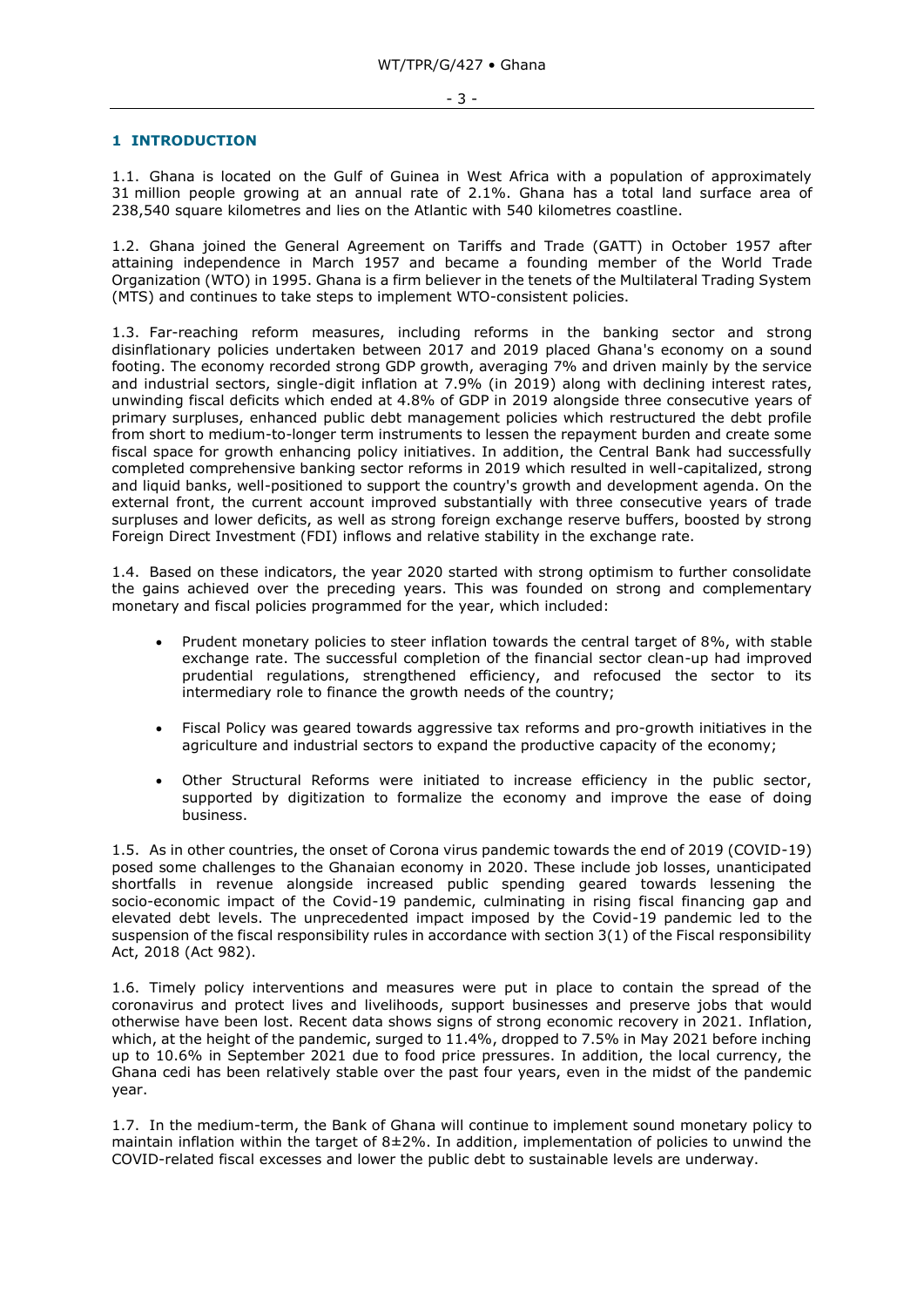## <span id="page-2-0"></span>**1 INTRODUCTION**

1.1. Ghana is located on the Gulf of Guinea in West Africa with a population of approximately 31 million people growing at an annual rate of 2.1%. Ghana has a total land surface area of 238,540 square kilometres and lies on the Atlantic with 540 kilometres coastline.

1.2. Ghana joined the General Agreement on Tariffs and Trade (GATT) in October 1957 after attaining independence in March 1957 and became a founding member of the World Trade Organization (WTO) in 1995. Ghana is a firm believer in the tenets of the Multilateral Trading System (MTS) and continues to take steps to implement WTO-consistent policies.

1.3. Far-reaching reform measures, including reforms in the banking sector and strong disinflationary policies undertaken between 2017 and 2019 placed Ghana's economy on a sound footing. The economy recorded strong GDP growth, averaging 7% and driven mainly by the service and industrial sectors, single-digit inflation at 7.9% (in 2019) along with declining interest rates, unwinding fiscal deficits which ended at 4.8% of GDP in 2019 alongside three consecutive years of primary surpluses, enhanced public debt management policies which restructured the debt profile from short to medium-to-longer term instruments to lessen the repayment burden and create some fiscal space for growth enhancing policy initiatives. In addition, the Central Bank had successfully completed comprehensive banking sector reforms in 2019 which resulted in well-capitalized, strong and liquid banks, well-positioned to support the country's growth and development agenda. On the external front, the current account improved substantially with three consecutive years of trade surpluses and lower deficits, as well as strong foreign exchange reserve buffers, boosted by strong Foreign Direct Investment (FDI) inflows and relative stability in the exchange rate.

1.4. Based on these indicators, the year 2020 started with strong optimism to further consolidate the gains achieved over the preceding years. This was founded on strong and complementary monetary and fiscal policies programmed for the year, which included:

- Prudent monetary policies to steer inflation towards the central target of 8%, with stable exchange rate. The successful completion of the financial sector clean-up had improved prudential regulations, strengthened efficiency, and refocused the sector to its intermediary role to finance the growth needs of the country;
- Fiscal Policy was geared towards aggressive tax reforms and pro-growth initiatives in the agriculture and industrial sectors to expand the productive capacity of the economy;
- Other Structural Reforms were initiated to increase efficiency in the public sector, supported by digitization to formalize the economy and improve the ease of doing business.

1.5. As in other countries, the onset of Corona virus pandemic towards the end of 2019 (COVID-19) posed some challenges to the Ghanaian economy in 2020. These include job losses, unanticipated shortfalls in revenue alongside increased public spending geared towards lessening the socio-economic impact of the Covid-19 pandemic, culminating in rising fiscal financing gap and elevated debt levels. The unprecedented impact imposed by the Covid-19 pandemic led to the suspension of the fiscal responsibility rules in accordance with section 3(1) of the Fiscal responsibility Act, 2018 (Act 982).

1.6. Timely policy interventions and measures were put in place to contain the spread of the coronavirus and protect lives and livelihoods, support businesses and preserve jobs that would otherwise have been lost. Recent data shows signs of strong economic recovery in 2021. Inflation, which, at the height of the pandemic, surged to 11.4%, dropped to 7.5% in May 2021 before inching up to 10.6% in September 2021 due to food price pressures. In addition, the local currency, the Ghana cedi has been relatively stable over the past four years, even in the midst of the pandemic year.

1.7. In the medium-term, the Bank of Ghana will continue to implement sound monetary policy to maintain inflation within the target of  $8\pm2\%$ . In addition, implementation of policies to unwind the COVID-related fiscal excesses and lower the public debt to sustainable levels are underway.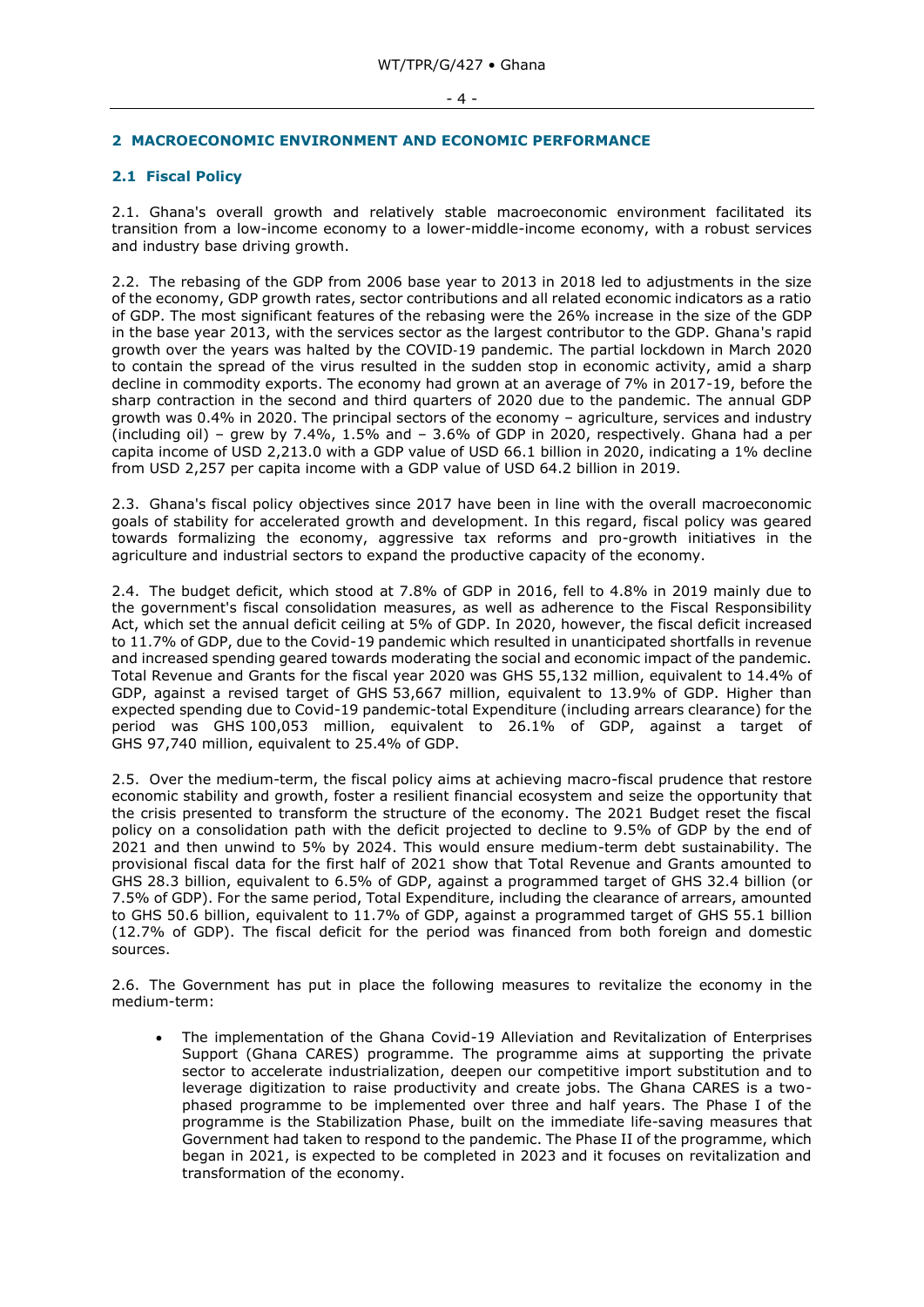#### - 4 -

## <span id="page-3-0"></span>**2 MACROECONOMIC ENVIRONMENT AND ECONOMIC PERFORMANCE**

# <span id="page-3-1"></span>**2.1 Fiscal Policy**

2.1. Ghana's overall growth and relatively stable macroeconomic environment facilitated its transition from a low-income economy to a lower-middle-income economy, with a robust services and industry base driving growth.

2.2. The rebasing of the GDP from 2006 base year to 2013 in 2018 led to adjustments in the size of the economy, GDP growth rates, sector contributions and all related economic indicators as a ratio of GDP. The most significant features of the rebasing were the 26% increase in the size of the GDP in the base year 2013, with the services sector as the largest contributor to the GDP. Ghana's rapid growth over the years was halted by the COVID‑19 pandemic. The partial lockdown in March 2020 to contain the spread of the virus resulted in the sudden stop in economic activity, amid a sharp decline in commodity exports. The economy had grown at an average of 7% in 2017-19, before the sharp contraction in the second and third quarters of 2020 due to the pandemic. The annual GDP growth was 0.4% in 2020. The principal sectors of the economy – agriculture, services and industry (including oil) – grew by  $7.4\%$ ,  $1.5\%$  and –  $3.6\%$  of GDP in 2020, respectively. Ghana had a per capita income of USD 2,213.0 with a GDP value of USD 66.1 billion in 2020, indicating a 1% decline from USD 2,257 per capita income with a GDP value of USD 64.2 billion in 2019.

2.3. Ghana's fiscal policy objectives since 2017 have been in line with the overall macroeconomic goals of stability for accelerated growth and development. In this regard, fiscal policy was geared towards formalizing the economy, aggressive tax reforms and pro-growth initiatives in the agriculture and industrial sectors to expand the productive capacity of the economy.

2.4. The budget deficit, which stood at 7.8% of GDP in 2016, fell to 4.8% in 2019 mainly due to the government's fiscal consolidation measures, as well as adherence to the Fiscal Responsibility Act, which set the annual deficit ceiling at 5% of GDP. In 2020, however, the fiscal deficit increased to 11.7% of GDP, due to the Covid-19 pandemic which resulted in unanticipated shortfalls in revenue and increased spending geared towards moderating the social and economic impact of the pandemic. Total Revenue and Grants for the fiscal year 2020 was GHS 55,132 million, equivalent to 14.4% of GDP, against a revised target of GHS 53,667 million, equivalent to 13.9% of GDP. Higher than expected spending due to Covid-19 pandemic-total Expenditure (including arrears clearance) for the period was GHS 100,053 million, equivalent to 26.1% of GDP, against a target of GHS 97,740 million, equivalent to 25.4% of GDP.

2.5. Over the medium-term, the fiscal policy aims at achieving macro-fiscal prudence that restore economic stability and growth, foster a resilient financial ecosystem and seize the opportunity that the crisis presented to transform the structure of the economy. The 2021 Budget reset the fiscal policy on a consolidation path with the deficit projected to decline to 9.5% of GDP by the end of 2021 and then unwind to 5% by 2024. This would ensure medium-term debt sustainability. The provisional fiscal data for the first half of 2021 show that Total Revenue and Grants amounted to GHS 28.3 billion, equivalent to 6.5% of GDP, against a programmed target of GHS 32.4 billion (or 7.5% of GDP). For the same period, Total Expenditure, including the clearance of arrears, amounted to GHS 50.6 billion, equivalent to 11.7% of GDP, against a programmed target of GHS 55.1 billion (12.7% of GDP). The fiscal deficit for the period was financed from both foreign and domestic sources.

2.6. The Government has put in place the following measures to revitalize the economy in the medium-term:

• The implementation of the Ghana Covid-19 Alleviation and Revitalization of Enterprises Support (Ghana CARES) programme. The programme aims at supporting the private sector to accelerate industrialization, deepen our competitive import substitution and to leverage digitization to raise productivity and create jobs. The Ghana CARES is a twophased programme to be implemented over three and half years. The Phase I of the programme is the Stabilization Phase, built on the immediate life-saving measures that Government had taken to respond to the pandemic. The Phase II of the programme, which began in 2021, is expected to be completed in 2023 and it focuses on revitalization and transformation of the economy.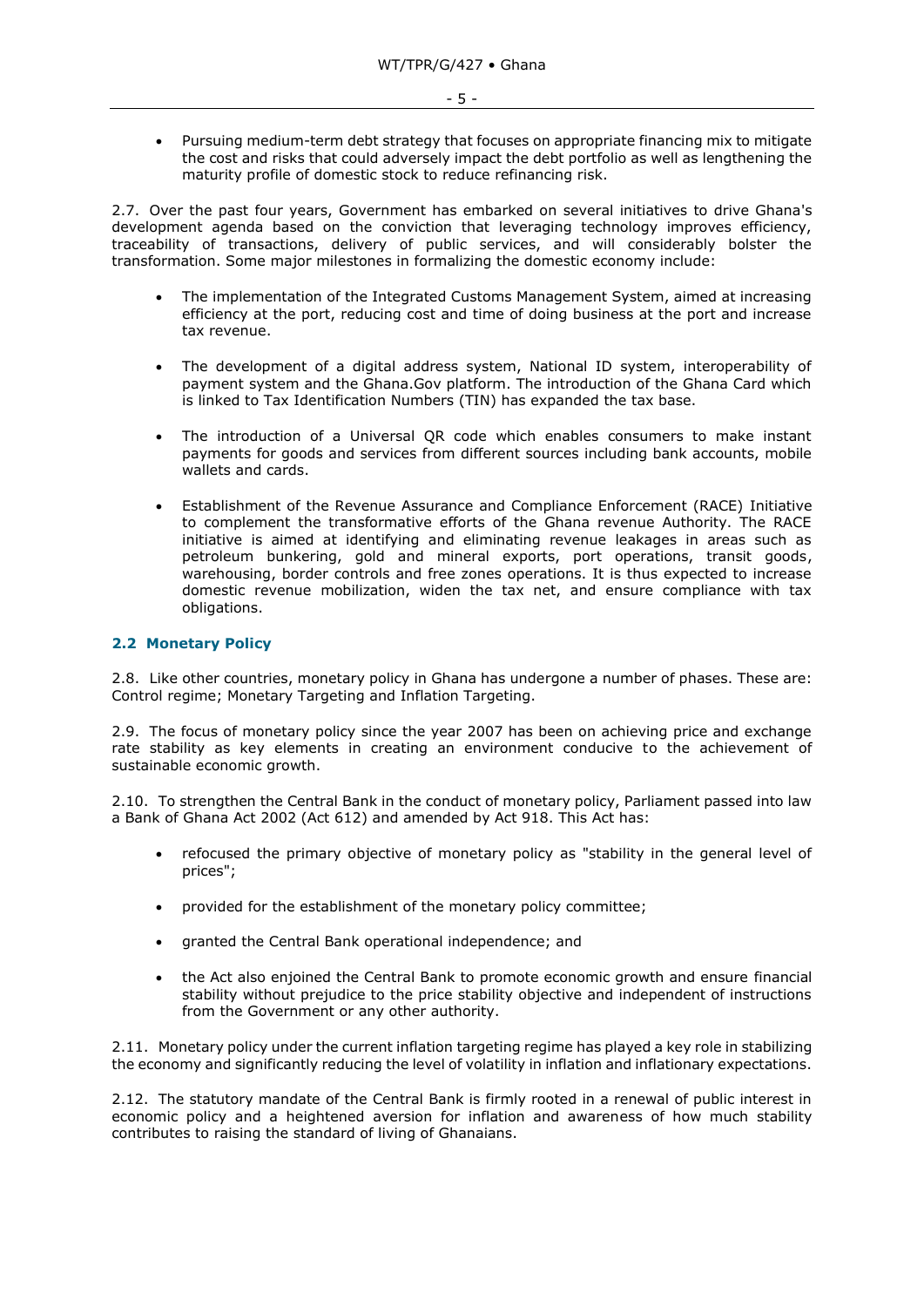• Pursuing medium-term debt strategy that focuses on appropriate financing mix to mitigate the cost and risks that could adversely impact the debt portfolio as well as lengthening the maturity profile of domestic stock to reduce refinancing risk.

2.7. Over the past four years, Government has embarked on several initiatives to drive Ghana's development agenda based on the conviction that leveraging technology improves efficiency, traceability of transactions, delivery of public services, and will considerably bolster the transformation. Some major milestones in formalizing the domestic economy include:

- The implementation of the Integrated Customs Management System, aimed at increasing efficiency at the port, reducing cost and time of doing business at the port and increase tax revenue.
- The development of a digital address system, National ID system, interoperability of payment system and the Ghana.Gov platform. The introduction of the Ghana Card which is linked to Tax Identification Numbers (TIN) has expanded the tax base.
- The introduction of a Universal QR code which enables consumers to make instant payments for goods and services from different sources including bank accounts, mobile wallets and cards.
- Establishment of the Revenue Assurance and Compliance Enforcement (RACE) Initiative to complement the transformative efforts of the Ghana revenue Authority. The RACE initiative is aimed at identifying and eliminating revenue leakages in areas such as petroleum bunkering, gold and mineral exports, port operations, transit goods, warehousing, border controls and free zones operations. It is thus expected to increase domestic revenue mobilization, widen the tax net, and ensure compliance with tax obligations.

## <span id="page-4-0"></span>**2.2 Monetary Policy**

2.8. Like other countries, monetary policy in Ghana has undergone a number of phases. These are: Control regime; Monetary Targeting and Inflation Targeting.

2.9. The focus of monetary policy since the year 2007 has been on achieving price and exchange rate stability as key elements in creating an environment conducive to the achievement of sustainable economic growth.

2.10. To strengthen the Central Bank in the conduct of monetary policy, Parliament passed into law a Bank of Ghana Act 2002 (Act 612) and amended by Act 918. This Act has:

- refocused the primary objective of monetary policy as "stability in the general level of prices";
- provided for the establishment of the monetary policy committee;
- granted the Central Bank operational independence; and
- the Act also enjoined the Central Bank to promote economic growth and ensure financial stability without prejudice to the price stability objective and independent of instructions from the Government or any other authority.

2.11. Monetary policy under the current inflation targeting regime has played a key role in stabilizing the economy and significantly reducing the level of volatility in inflation and inflationary expectations.

2.12. The statutory mandate of the Central Bank is firmly rooted in a renewal of public interest in economic policy and a heightened aversion for inflation and awareness of how much stability contributes to raising the standard of living of Ghanaians.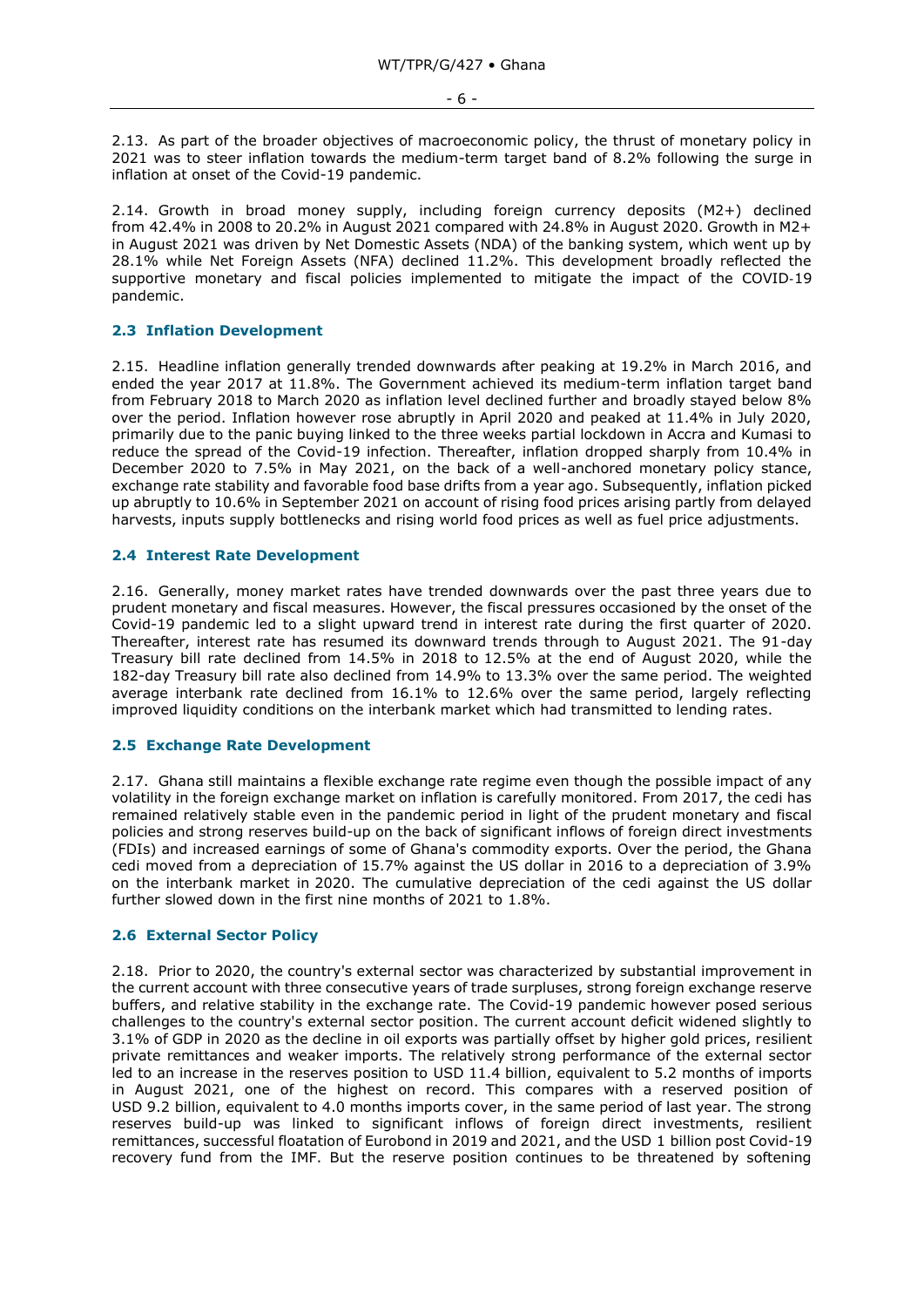2.13. As part of the broader objectives of macroeconomic policy, the thrust of monetary policy in 2021 was to steer inflation towards the medium-term target band of 8.2% following the surge in inflation at onset of the Covid-19 pandemic.

2.14. Growth in broad money supply, including foreign currency deposits (M2+) declined from 42.4% in 2008 to 20.2% in August 2021 compared with 24.8% in August 2020. Growth in M2+ in August 2021 was driven by Net Domestic Assets (NDA) of the banking system, which went up by 28.1% while Net Foreign Assets (NFA) declined 11.2%. This development broadly reflected the supportive monetary and fiscal policies implemented to mitigate the impact of the COVID-19 pandemic.

## <span id="page-5-0"></span>**2.3 Inflation Development**

2.15. Headline inflation generally trended downwards after peaking at 19.2% in March 2016, and ended the year 2017 at 11.8%. The Government achieved its medium-term inflation target band from February 2018 to March 2020 as inflation level declined further and broadly stayed below 8% over the period. Inflation however rose abruptly in April 2020 and peaked at 11.4% in July 2020, primarily due to the panic buying linked to the three weeks partial lockdown in Accra and Kumasi to reduce the spread of the Covid-19 infection. Thereafter, inflation dropped sharply from 10.4% in December 2020 to 7.5% in May 2021, on the back of a well-anchored monetary policy stance, exchange rate stability and favorable food base drifts from a year ago. Subsequently, inflation picked up abruptly to 10.6% in September 2021 on account of rising food prices arising partly from delayed harvests, inputs supply bottlenecks and rising world food prices as well as fuel price adjustments.

## <span id="page-5-1"></span>**2.4 Interest Rate Development**

2.16. Generally, money market rates have trended downwards over the past three years due to prudent monetary and fiscal measures. However, the fiscal pressures occasioned by the onset of the Covid-19 pandemic led to a slight upward trend in interest rate during the first quarter of 2020. Thereafter, interest rate has resumed its downward trends through to August 2021. The 91-day Treasury bill rate declined from 14.5% in 2018 to 12.5% at the end of August 2020, while the 182-day Treasury bill rate also declined from 14.9% to 13.3% over the same period. The weighted average interbank rate declined from 16.1% to 12.6% over the same period, largely reflecting improved liquidity conditions on the interbank market which had transmitted to lending rates.

### <span id="page-5-2"></span>**2.5 Exchange Rate Development**

2.17. Ghana still maintains a flexible exchange rate regime even though the possible impact of any volatility in the foreign exchange market on inflation is carefully monitored. From 2017, the cedi has remained relatively stable even in the pandemic period in light of the prudent monetary and fiscal policies and strong reserves build-up on the back of significant inflows of foreign direct investments (FDIs) and increased earnings of some of Ghana's commodity exports. Over the period, the Ghana cedi moved from a depreciation of 15.7% against the US dollar in 2016 to a depreciation of 3.9% on the interbank market in 2020. The cumulative depreciation of the cedi against the US dollar further slowed down in the first nine months of 2021 to 1.8%.

#### <span id="page-5-3"></span>**2.6 External Sector Policy**

2.18. Prior to 2020, the country's external sector was characterized by substantial improvement in the current account with three consecutive years of trade surpluses, strong foreign exchange reserve buffers, and relative stability in the exchange rate. The Covid-19 pandemic however posed serious challenges to the country's external sector position. The current account deficit widened slightly to 3.1% of GDP in 2020 as the decline in oil exports was partially offset by higher gold prices, resilient private remittances and weaker imports. The relatively strong performance of the external sector led to an increase in the reserves position to USD 11.4 billion, equivalent to 5.2 months of imports in August 2021, one of the highest on record. This compares with a reserved position of USD 9.2 billion, equivalent to 4.0 months imports cover, in the same period of last year. The strong reserves build-up was linked to significant inflows of foreign direct investments, resilient remittances, successful floatation of Eurobond in 2019 and 2021, and the USD 1 billion post Covid-19 recovery fund from the IMF. But the reserve position continues to be threatened by softening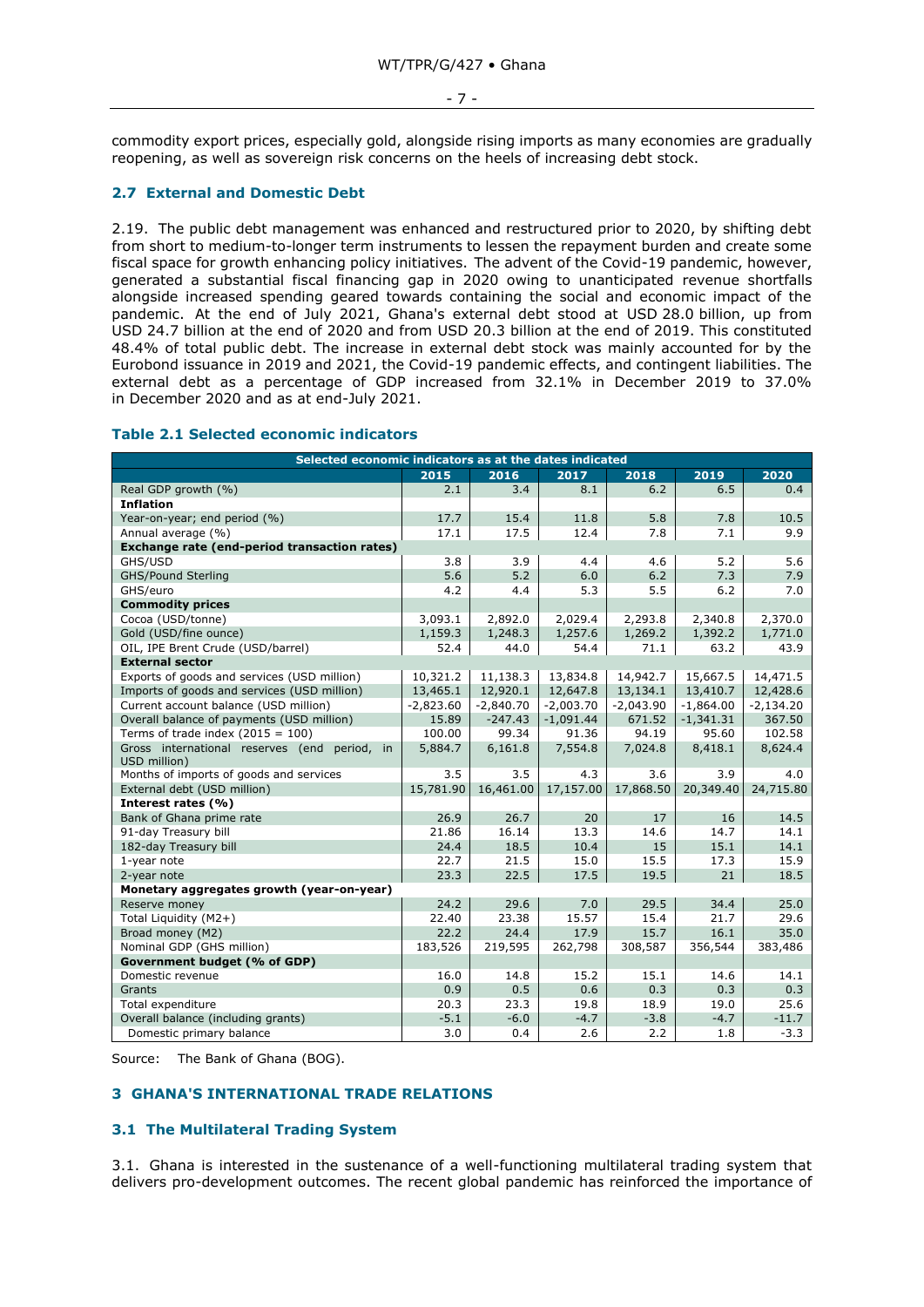#### - 7 -

commodity export prices, especially gold, alongside rising imports as many economies are gradually reopening, as well as sovereign risk concerns on the heels of increasing debt stock.

# <span id="page-6-0"></span>**2.7 External and Domestic Debt**

2.19. The public debt management was enhanced and restructured prior to 2020, by shifting debt from short to medium-to-longer term instruments to lessen the repayment burden and create some fiscal space for growth enhancing policy initiatives. The advent of the Covid-19 pandemic, however, generated a substantial fiscal financing gap in 2020 owing to unanticipated revenue shortfalls alongside increased spending geared towards containing the social and economic impact of the pandemic. At the end of July 2021, Ghana's external debt stood at USD 28.0 billion, up from USD 24.7 billion at the end of 2020 and from USD 20.3 billion at the end of 2019. This constituted 48.4% of total public debt. The increase in external debt stock was mainly accounted for by the Eurobond issuance in 2019 and 2021, the Covid-19 pandemic effects, and contingent liabilities. The external debt as a percentage of GDP increased from 32.1% in December 2019 to 37.0% in December 2020 and as at end-July 2021.

| Selected economic indicators as at the dates indicated          |             |             |             |             |             |             |  |  |  |
|-----------------------------------------------------------------|-------------|-------------|-------------|-------------|-------------|-------------|--|--|--|
|                                                                 | 2015        | 2016        | 2017        | 2018        | 2019        | 2020        |  |  |  |
| Real GDP growth (%)                                             | 2.1         | 3.4         | 8.1         | 6.2         | 6.5         | 0.4         |  |  |  |
| <b>Inflation</b>                                                |             |             |             |             |             |             |  |  |  |
| Year-on-year; end period (%)                                    | 17.7        | 15.4        | 11.8        | 5.8         | 7.8         | 10.5        |  |  |  |
| Annual average (%)                                              | 17.1        | 17.5        | 12.4        | 7.8         | 7.1         | 9.9         |  |  |  |
| Exchange rate (end-period transaction rates)                    |             |             |             |             |             |             |  |  |  |
| GHS/USD                                                         | 3.8         | 3.9         | 4.4         | 4.6         | 5.2         | 5.6         |  |  |  |
| <b>GHS/Pound Sterling</b>                                       | 5.6         | 5.2         | 6.0         | 6.2         | 7.3         | 7.9         |  |  |  |
| GHS/euro                                                        | 4.2         | 4.4         | 5.3         | 5.5         | 6.2         | 7.0         |  |  |  |
| <b>Commodity prices</b>                                         |             |             |             |             |             |             |  |  |  |
| Cocoa (USD/tonne)                                               | 3,093.1     | 2,892.0     | 2,029.4     | 2,293.8     | 2,340.8     | 2,370.0     |  |  |  |
| Gold (USD/fine ounce)                                           | 1,159.3     | 1,248.3     | 1,257.6     | 1,269.2     | 1,392.2     | 1,771.0     |  |  |  |
| OIL, IPE Brent Crude (USD/barrel)                               | 52.4        | 44.0        | 54.4        | 71.1        | 63.2        | 43.9        |  |  |  |
| <b>External sector</b>                                          |             |             |             |             |             |             |  |  |  |
| Exports of goods and services (USD million)                     | 10,321.2    | 11,138.3    | 13,834.8    | 14,942.7    | 15,667.5    | 14,471.5    |  |  |  |
| Imports of goods and services (USD million)                     | 13,465.1    | 12,920.1    | 12,647.8    | 13,134.1    | 13,410.7    | 12,428.6    |  |  |  |
| Current account balance (USD million)                           | $-2,823.60$ | $-2,840.70$ | $-2,003.70$ | $-2,043.90$ | $-1,864.00$ | $-2,134.20$ |  |  |  |
| Overall balance of payments (USD million)                       | 15.89       | $-247.43$   | $-1,091.44$ | 671.52      | $-1,341.31$ | 367.50      |  |  |  |
| Terms of trade index $(2015 = 100)$                             | 100.00      | 99.34       | 91.36       | 94.19       | 95.60       | 102.58      |  |  |  |
| Gross international reserves (end period,<br>in<br>USD million) | 5,884.7     | 6,161.8     | 7,554.8     | 7,024.8     | 8,418.1     | 8,624.4     |  |  |  |
| Months of imports of goods and services                         | 3.5         | 3.5         | 4.3         | 3.6         | 3.9         | 4.0         |  |  |  |
| External debt (USD million)                                     | 15,781.90   | 16,461.00   | 17,157.00   | 17,868.50   | 20,349.40   | 24,715.80   |  |  |  |
| Interest rates (%)                                              |             |             |             |             |             |             |  |  |  |
| Bank of Ghana prime rate                                        | 26.9        | 26.7        | 20          | 17          | 16          | 14.5        |  |  |  |
| 91-day Treasury bill                                            | 21.86       | 16.14       | 13.3        | 14.6        | 14.7        | 14.1        |  |  |  |
| 182-day Treasury bill                                           | 24.4        | 18.5        | 10.4        | 15          | 15.1        | 14.1        |  |  |  |
| 1-year note                                                     | 22.7        | 21.5        | 15.0        | 15.5        | 17.3        | 15.9        |  |  |  |
| 2-year note                                                     | 23.3        | 22.5        | 17.5        | 19.5        | 21          | 18.5        |  |  |  |
| Monetary aggregates growth (year-on-year)                       |             |             |             |             |             |             |  |  |  |
| Reserve money                                                   | 24.2        | 29.6        | 7.0         | 29.5        | 34.4        | 25.0        |  |  |  |
| Total Liquidity (M2+)                                           | 22.40       | 23.38       | 15.57       | 15.4        | 21.7        | 29.6        |  |  |  |
| Broad money (M2)                                                | 22.2        | 24.4        | 17.9        | 15.7        | 16.1        | 35.0        |  |  |  |
| Nominal GDP (GHS million)                                       | 183,526     | 219,595     | 262,798     | 308,587     | 356,544     | 383,486     |  |  |  |
| <b>Government budget (% of GDP)</b>                             |             |             |             |             |             |             |  |  |  |
| Domestic revenue                                                | 16.0        | 14.8        | 15.2        | 15.1        | 14.6        | 14.1        |  |  |  |
| Grants                                                          | 0.9         | 0.5         | 0.6         | 0.3         | 0.3         | 0.3         |  |  |  |
| Total expenditure                                               | 20.3        | 23.3        | 19.8        | 18.9        | 19.0        | 25.6        |  |  |  |
| Overall balance (including grants)                              | $-5.1$      | $-6.0$      | $-4.7$      | $-3.8$      | $-4.7$      | $-11.7$     |  |  |  |
| Domestic primary balance                                        | 3.0         | 0.4         | 2.6         | 2.2         | 1.8         | $-3.3$      |  |  |  |

### **Table 2.1 Selected economic indicators**

Source: The Bank of Ghana (BOG).

## <span id="page-6-1"></span>**3 GHANA'S INTERNATIONAL TRADE RELATIONS**

# <span id="page-6-2"></span>**3.1 The Multilateral Trading System**

3.1. Ghana is interested in the sustenance of a well-functioning multilateral trading system that delivers pro-development outcomes. The recent global pandemic has reinforced the importance of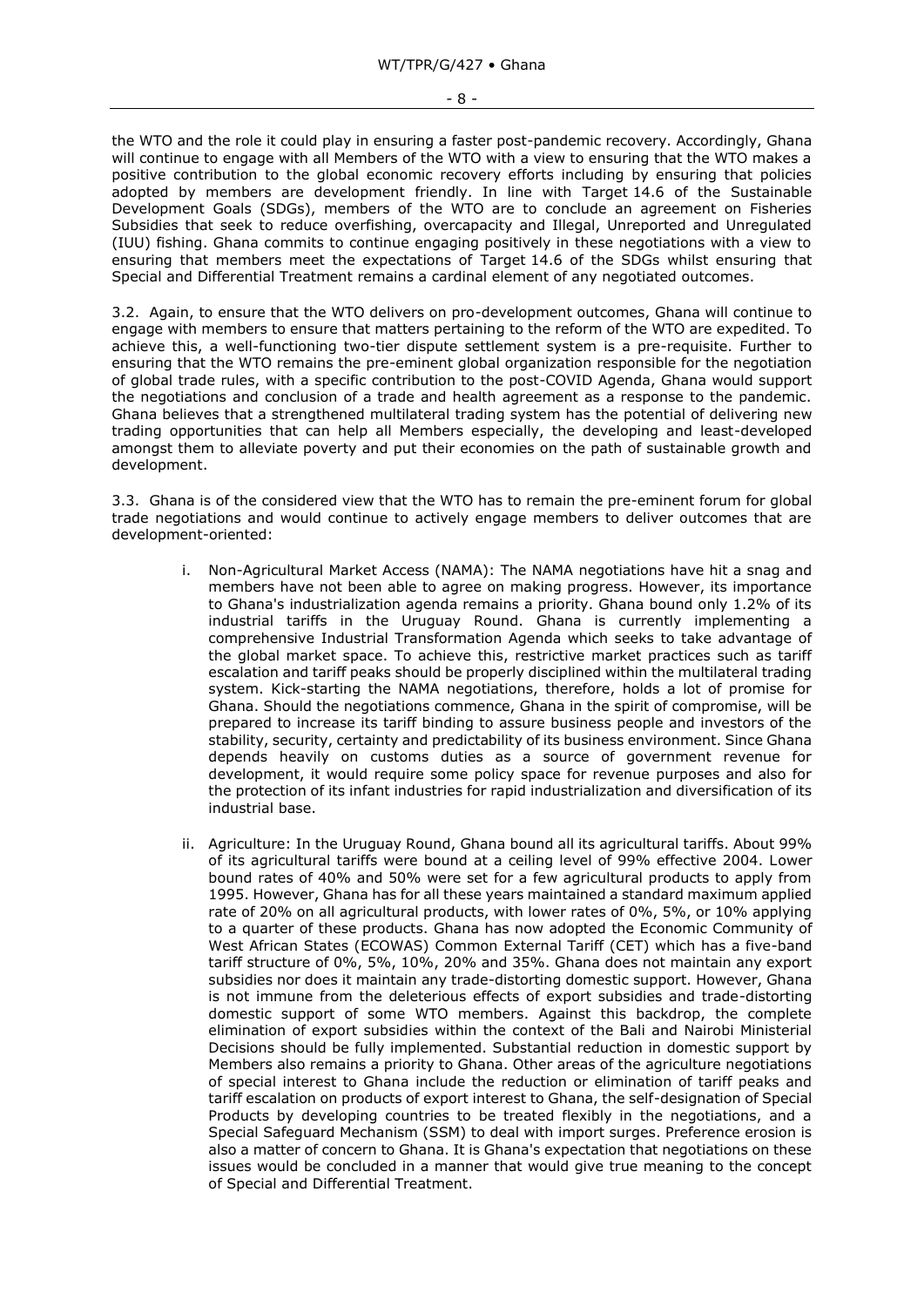- 8 -

the WTO and the role it could play in ensuring a faster post-pandemic recovery. Accordingly, Ghana will continue to engage with all Members of the WTO with a view to ensuring that the WTO makes a positive contribution to the global economic recovery efforts including by ensuring that policies adopted by members are development friendly. In line with Target 14.6 of the Sustainable Development Goals (SDGs), members of the WTO are to conclude an agreement on Fisheries Subsidies that seek to reduce overfishing, overcapacity and Illegal, Unreported and Unregulated (IUU) fishing. Ghana commits to continue engaging positively in these negotiations with a view to ensuring that members meet the expectations of Target 14.6 of the SDGs whilst ensuring that Special and Differential Treatment remains a cardinal element of any negotiated outcomes.

3.2. Again, to ensure that the WTO delivers on pro-development outcomes, Ghana will continue to engage with members to ensure that matters pertaining to the reform of the WTO are expedited. To achieve this, a well-functioning two-tier dispute settlement system is a pre-requisite. Further to ensuring that the WTO remains the pre-eminent global organization responsible for the negotiation of global trade rules, with a specific contribution to the post-COVID Agenda, Ghana would support the negotiations and conclusion of a trade and health agreement as a response to the pandemic. Ghana believes that a strengthened multilateral trading system has the potential of delivering new trading opportunities that can help all Members especially, the developing and least-developed amongst them to alleviate poverty and put their economies on the path of sustainable growth and development.

3.3. Ghana is of the considered view that the WTO has to remain the pre-eminent forum for global trade negotiations and would continue to actively engage members to deliver outcomes that are development-oriented:

- i. Non-Agricultural Market Access (NAMA): The NAMA negotiations have hit a snag and members have not been able to agree on making progress. However, its importance to Ghana's industrialization agenda remains a priority. Ghana bound only 1.2% of its industrial tariffs in the Uruguay Round. Ghana is currently implementing a comprehensive Industrial Transformation Agenda which seeks to take advantage of the global market space. To achieve this, restrictive market practices such as tariff escalation and tariff peaks should be properly disciplined within the multilateral trading system. Kick-starting the NAMA negotiations, therefore, holds a lot of promise for Ghana. Should the negotiations commence, Ghana in the spirit of compromise, will be prepared to increase its tariff binding to assure business people and investors of the stability, security, certainty and predictability of its business environment. Since Ghana depends heavily on customs duties as a source of government revenue for development, it would require some policy space for revenue purposes and also for the protection of its infant industries for rapid industrialization and diversification of its industrial base.
- ii. Agriculture: In the Uruguay Round, Ghana bound all its agricultural tariffs. About 99% of its agricultural tariffs were bound at a ceiling level of 99% effective 2004. Lower bound rates of 40% and 50% were set for a few agricultural products to apply from 1995. However, Ghana has for all these years maintained a standard maximum applied rate of 20% on all agricultural products, with lower rates of 0%, 5%, or 10% applying to a quarter of these products. Ghana has now adopted the Economic Community of West African States (ECOWAS) Common External Tariff (CET) which has a five-band tariff structure of 0%, 5%, 10%, 20% and 35%. Ghana does not maintain any export subsidies nor does it maintain any trade-distorting domestic support. However, Ghana is not immune from the deleterious effects of export subsidies and trade-distorting domestic support of some WTO members. Against this backdrop, the complete elimination of export subsidies within the context of the Bali and Nairobi Ministerial Decisions should be fully implemented. Substantial reduction in domestic support by Members also remains a priority to Ghana. Other areas of the agriculture negotiations of special interest to Ghana include the reduction or elimination of tariff peaks and tariff escalation on products of export interest to Ghana, the self-designation of Special Products by developing countries to be treated flexibly in the negotiations, and a Special Safeguard Mechanism (SSM) to deal with import surges. Preference erosion is also a matter of concern to Ghana. It is Ghana's expectation that negotiations on these issues would be concluded in a manner that would give true meaning to the concept of Special and Differential Treatment.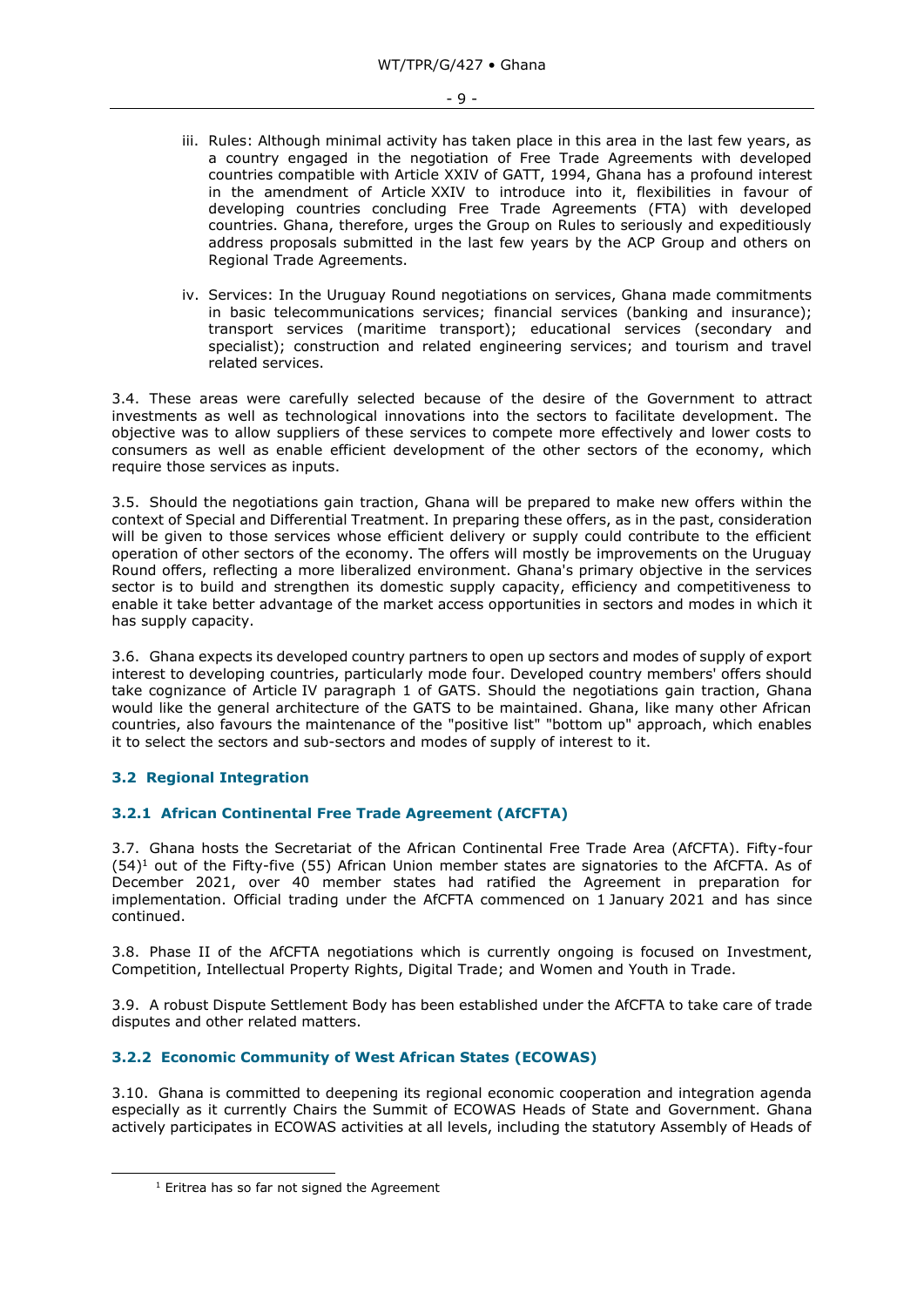- iii. Rules: Although minimal activity has taken place in this area in the last few years, as a country engaged in the negotiation of Free Trade Agreements with developed countries compatible with Article XXIV of GATT, 1994, Ghana has a profound interest in the amendment of Article XXIV to introduce into it, flexibilities in favour of developing countries concluding Free Trade Agreements (FTA) with developed countries. Ghana, therefore, urges the Group on Rules to seriously and expeditiously address proposals submitted in the last few years by the ACP Group and others on Regional Trade Agreements.
- iv. Services: In the Uruguay Round negotiations on services, Ghana made commitments in basic telecommunications services; financial services (banking and insurance); transport services (maritime transport); educational services (secondary and specialist); construction and related engineering services; and tourism and travel related services.

3.4. These areas were carefully selected because of the desire of the Government to attract investments as well as technological innovations into the sectors to facilitate development. The objective was to allow suppliers of these services to compete more effectively and lower costs to consumers as well as enable efficient development of the other sectors of the economy, which require those services as inputs.

3.5. Should the negotiations gain traction, Ghana will be prepared to make new offers within the context of Special and Differential Treatment. In preparing these offers, as in the past, consideration will be given to those services whose efficient delivery or supply could contribute to the efficient operation of other sectors of the economy. The offers will mostly be improvements on the Uruguay Round offers, reflecting a more liberalized environment. Ghana's primary objective in the services sector is to build and strengthen its domestic supply capacity, efficiency and competitiveness to enable it take better advantage of the market access opportunities in sectors and modes in which it has supply capacity.

3.6. Ghana expects its developed country partners to open up sectors and modes of supply of export interest to developing countries, particularly mode four. Developed country members' offers should take cognizance of Article IV paragraph 1 of GATS. Should the negotiations gain traction, Ghana would like the general architecture of the GATS to be maintained. Ghana, like many other African countries, also favours the maintenance of the "positive list" "bottom up" approach, which enables it to select the sectors and sub-sectors and modes of supply of interest to it.

# <span id="page-8-0"></span>**3.2 Regional Integration**

# <span id="page-8-1"></span>**3.2.1 African Continental Free Trade Agreement (AfCFTA)**

3.7. Ghana hosts the Secretariat of the African Continental Free Trade Area (AfCFTA). Fifty-four  $(54)^1$  out of the Fifty-five (55) African Union member states are signatories to the AfCFTA. As of December 2021, over 40 member states had ratified the Agreement in preparation for implementation. Official trading under the AfCFTA commenced on 1 January 2021 and has since continued.

3.8. Phase II of the AfCFTA negotiations which is currently ongoing is focused on Investment, Competition, Intellectual Property Rights, Digital Trade; and Women and Youth in Trade.

3.9. A robust Dispute Settlement Body has been established under the AfCFTA to take care of trade disputes and other related matters.

# <span id="page-8-2"></span>**3.2.2 Economic Community of West African States (ECOWAS)**

3.10. Ghana is committed to deepening its regional economic cooperation and integration agenda especially as it currently Chairs the Summit of ECOWAS Heads of State and Government. Ghana actively participates in ECOWAS activities at all levels, including the statutory Assembly of Heads of

 $1$  Eritrea has so far not signed the Agreement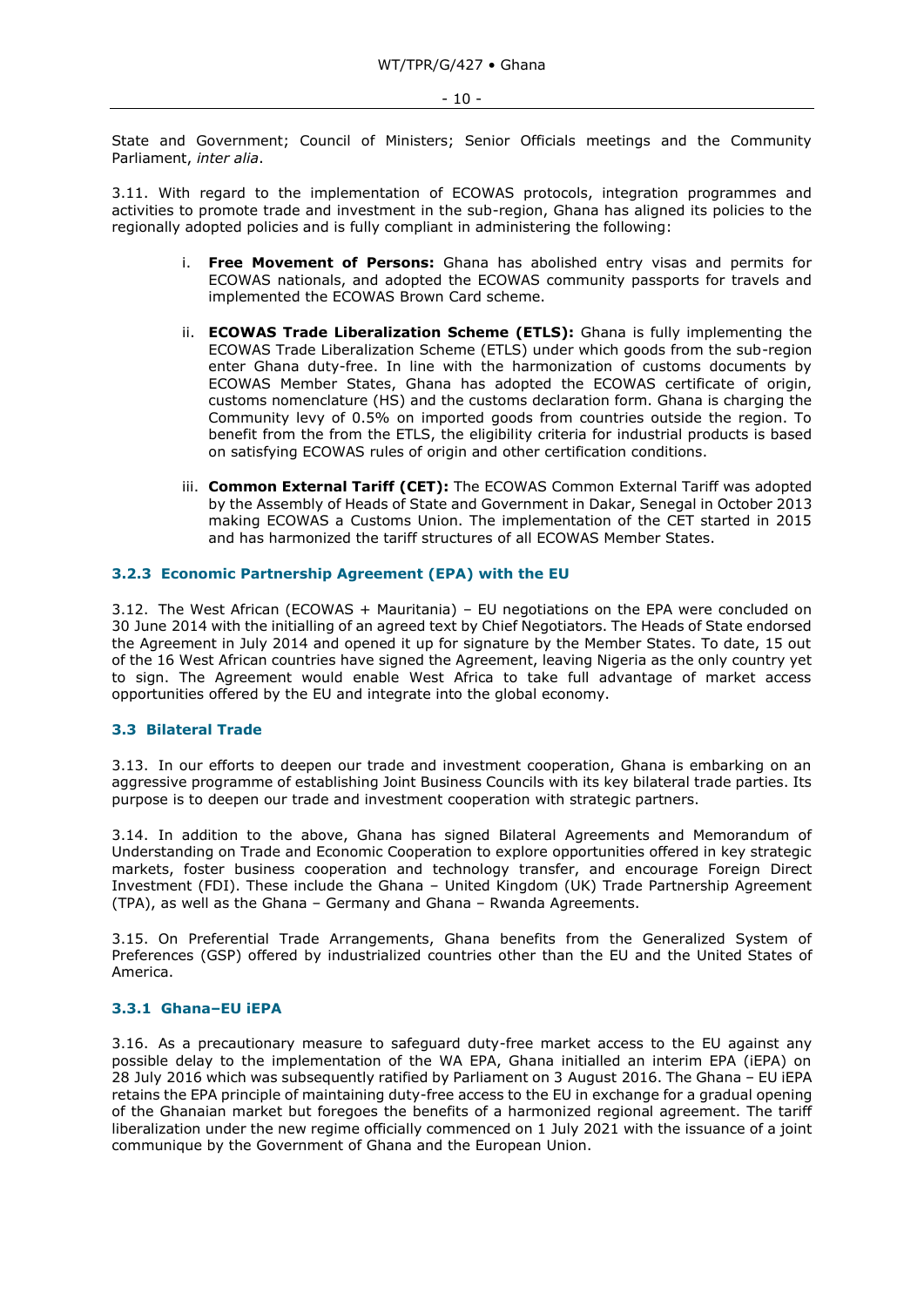State and Government; Council of Ministers; Senior Officials meetings and the Community Parliament, *inter alia*.

3.11. With regard to the implementation of ECOWAS protocols, integration programmes and activities to promote trade and investment in the sub-region, Ghana has aligned its policies to the regionally adopted policies and is fully compliant in administering the following:

- i. **Free Movement of Persons:** Ghana has abolished entry visas and permits for ECOWAS nationals, and adopted the ECOWAS community passports for travels and implemented the ECOWAS Brown Card scheme.
- ii. **ECOWAS Trade Liberalization Scheme (ETLS):** Ghana is fully implementing the ECOWAS Trade Liberalization Scheme (ETLS) under which goods from the sub-region enter Ghana duty-free. In line with the harmonization of customs documents by ECOWAS Member States, Ghana has adopted the ECOWAS certificate of origin, customs nomenclature (HS) and the customs declaration form. Ghana is charging the Community levy of 0.5% on imported goods from countries outside the region. To benefit from the from the ETLS, the eligibility criteria for industrial products is based on satisfying ECOWAS rules of origin and other certification conditions.
- iii. **Common External Tariff (CET):** The ECOWAS Common External Tariff was adopted by the Assembly of Heads of State and Government in Dakar, Senegal in October 2013 making ECOWAS a Customs Union. The implementation of the CET started in 2015 and has harmonized the tariff structures of all ECOWAS Member States.

# <span id="page-9-0"></span>**3.2.3 Economic Partnership Agreement (EPA) with the EU**

3.12. The West African (ECOWAS + Mauritania) – EU negotiations on the EPA were concluded on 30 June 2014 with the initialling of an agreed text by Chief Negotiators. The Heads of State endorsed the Agreement in July 2014 and opened it up for signature by the Member States. To date, 15 out of the 16 West African countries have signed the Agreement, leaving Nigeria as the only country yet to sign. The Agreement would enable West Africa to take full advantage of market access opportunities offered by the EU and integrate into the global economy.

#### <span id="page-9-1"></span>**3.3 Bilateral Trade**

3.13. In our efforts to deepen our trade and investment cooperation, Ghana is embarking on an aggressive programme of establishing Joint Business Councils with its key bilateral trade parties. Its purpose is to deepen our trade and investment cooperation with strategic partners.

3.14. In addition to the above, Ghana has signed Bilateral Agreements and Memorandum of Understanding on Trade and Economic Cooperation to explore opportunities offered in key strategic markets, foster business cooperation and technology transfer, and encourage Foreign Direct Investment (FDI). These include the Ghana – United Kingdom (UK) Trade Partnership Agreement (TPA), as well as the Ghana – Germany and Ghana – Rwanda Agreements.

3.15. On Preferential Trade Arrangements, Ghana benefits from the Generalized System of Preferences (GSP) offered by industrialized countries other than the EU and the United States of America.

# <span id="page-9-2"></span>**3.3.1 Ghana–EU iEPA**

3.16. As a precautionary measure to safeguard duty-free market access to the EU against any possible delay to the implementation of the WA EPA, Ghana initialled an interim EPA (iEPA) on 28 July 2016 which was subsequently ratified by Parliament on 3 August 2016. The Ghana – EU iEPA retains the EPA principle of maintaining duty-free access to the EU in exchange for a gradual opening of the Ghanaian market but foregoes the benefits of a harmonized regional agreement. The tariff liberalization under the new regime officially commenced on 1 July 2021 with the issuance of a joint communique by the Government of Ghana and the European Union.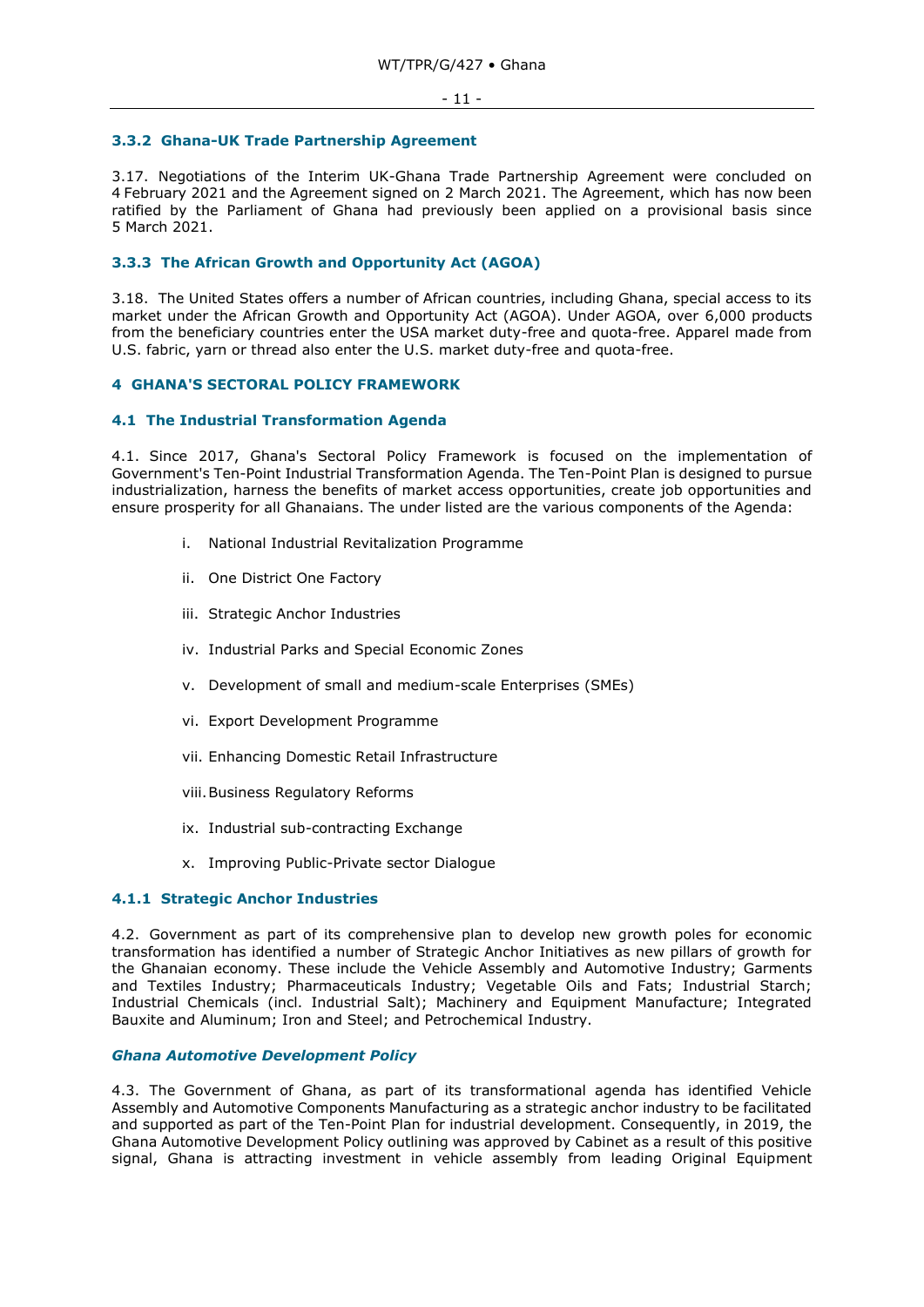#### <span id="page-10-0"></span>**3.3.2 Ghana-UK Trade Partnership Agreement**

3.17. Negotiations of the Interim UK-Ghana Trade Partnership Agreement were concluded on 4 February 2021 and the Agreement signed on 2 March 2021. The Agreement, which has now been ratified by the Parliament of Ghana had previously been applied on a provisional basis since 5 March 2021.

# <span id="page-10-1"></span>**3.3.3 The African Growth and Opportunity Act (AGOA)**

3.18. The United States offers a number of African countries, including Ghana, special access to its market under the African Growth and Opportunity Act (AGOA). Under AGOA, over 6,000 products from the beneficiary countries enter the USA market duty-free and quota-free. Apparel made from U.S. fabric, yarn or thread also enter the U.S. market duty-free and quota-free.

# <span id="page-10-2"></span>**4 GHANA'S SECTORAL POLICY FRAMEWORK**

# <span id="page-10-3"></span>**4.1 The Industrial Transformation Agenda**

4.1. Since 2017, Ghana's Sectoral Policy Framework is focused on the implementation of Government's Ten-Point Industrial Transformation Agenda. The Ten-Point Plan is designed to pursue industrialization, harness the benefits of market access opportunities, create job opportunities and ensure prosperity for all Ghanaians. The under listed are the various components of the Agenda:

- i. National Industrial Revitalization Programme
- ii. One District One Factory
- iii. Strategic Anchor Industries
- iv. Industrial Parks and Special Economic Zones
- v. Development of small and medium-scale Enterprises (SMEs)
- vi. Export Development Programme
- vii. Enhancing Domestic Retail Infrastructure
- viii.Business Regulatory Reforms
- ix. Industrial sub-contracting Exchange
- <span id="page-10-4"></span>x. Improving Public-Private sector Dialogue

# **4.1.1 Strategic Anchor Industries**

4.2. Government as part of its comprehensive plan to develop new growth poles for economic transformation has identified a number of Strategic Anchor Initiatives as new pillars of growth for the Ghanaian economy. These include the Vehicle Assembly and Automotive Industry; Garments and Textiles Industry; Pharmaceuticals Industry; Vegetable Oils and Fats; Industrial Starch; Industrial Chemicals (incl. Industrial Salt); Machinery and Equipment Manufacture; Integrated Bauxite and Aluminum; Iron and Steel; and Petrochemical Industry.

# *Ghana Automotive Development Policy*

4.3. The Government of Ghana, as part of its transformational agenda has identified Vehicle Assembly and Automotive Components Manufacturing as a strategic anchor industry to be facilitated and supported as part of the Ten-Point Plan for industrial development. Consequently, in 2019, the Ghana Automotive Development Policy outlining was approved by Cabinet as a result of this positive signal, Ghana is attracting investment in vehicle assembly from leading Original Equipment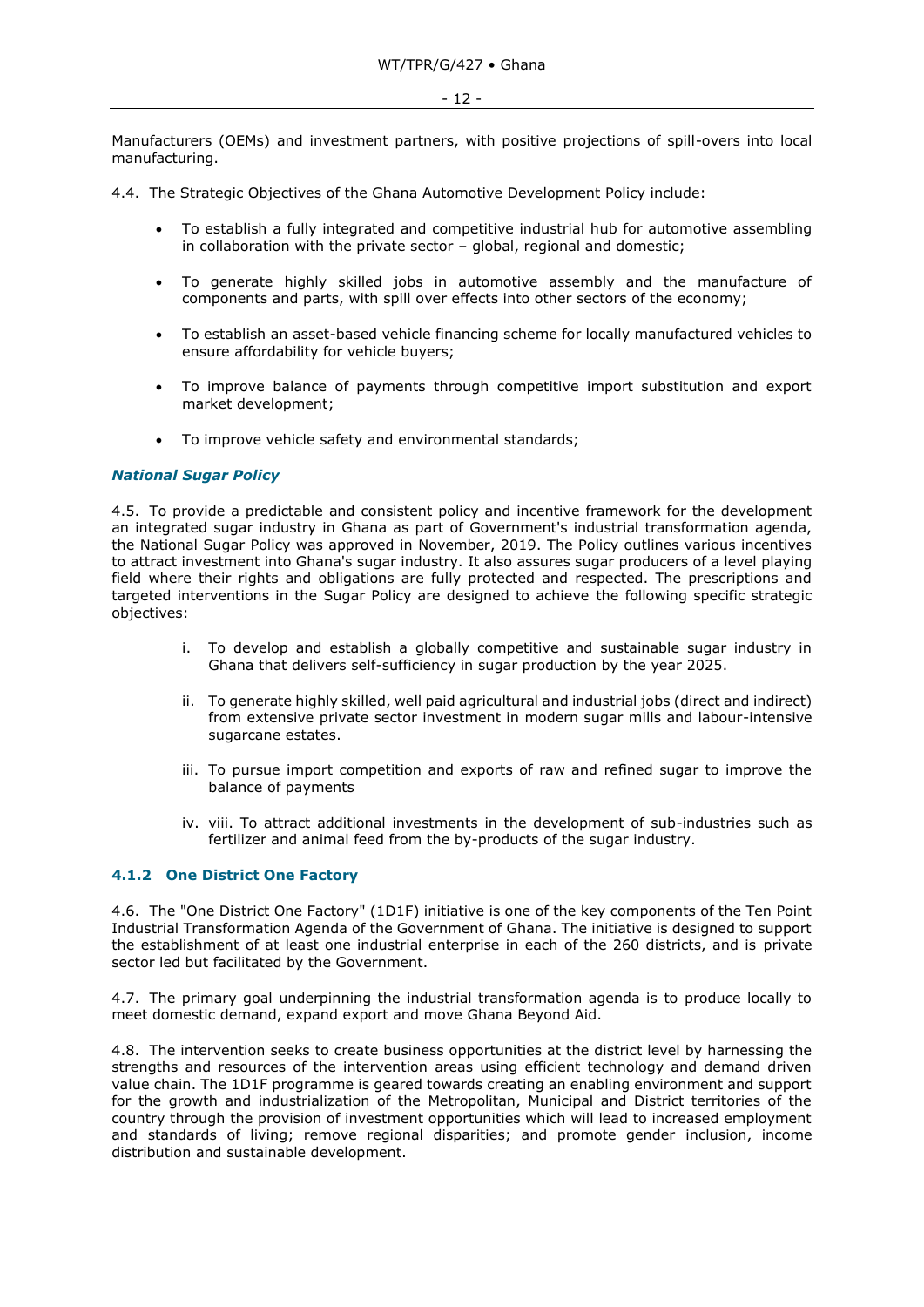Manufacturers (OEMs) and investment partners, with positive projections of spill-overs into local manufacturing.

- 4.4. The Strategic Objectives of the Ghana Automotive Development Policy include:
	- To establish a fully integrated and competitive industrial hub for automotive assembling in collaboration with the private sector – global, regional and domestic;
	- To generate highly skilled jobs in automotive assembly and the manufacture of components and parts, with spill over effects into other sectors of the economy;
	- To establish an asset-based vehicle financing scheme for locally manufactured vehicles to ensure affordability for vehicle buyers;
	- To improve balance of payments through competitive import substitution and export market development;
	- To improve vehicle safety and environmental standards;

# *National Sugar Policy*

4.5. To provide a predictable and consistent policy and incentive framework for the development an integrated sugar industry in Ghana as part of Government's industrial transformation agenda, the National Sugar Policy was approved in November, 2019. The Policy outlines various incentives to attract investment into Ghana's sugar industry. It also assures sugar producers of a level playing field where their rights and obligations are fully protected and respected. The prescriptions and targeted interventions in the Sugar Policy are designed to achieve the following specific strategic objectives:

- i. To develop and establish a globally competitive and sustainable sugar industry in Ghana that delivers self-sufficiency in sugar production by the year 2025.
- ii. To generate highly skilled, well paid agricultural and industrial jobs (direct and indirect) from extensive private sector investment in modern sugar mills and labour-intensive sugarcane estates.
- iii. To pursue import competition and exports of raw and refined sugar to improve the balance of payments
- iv. viii. To attract additional investments in the development of sub-industries such as fertilizer and animal feed from the by-products of the sugar industry.

# <span id="page-11-0"></span>**4.1.2 One District One Factory**

4.6. The "One District One Factory" (1D1F) initiative is one of the key components of the Ten Point Industrial Transformation Agenda of the Government of Ghana. The initiative is designed to support the establishment of at least one industrial enterprise in each of the 260 districts, and is private sector led but facilitated by the Government.

4.7. The primary goal underpinning the industrial transformation agenda is to produce locally to meet domestic demand, expand export and move Ghana Beyond Aid.

4.8. The intervention seeks to create business opportunities at the district level by harnessing the strengths and resources of the intervention areas using efficient technology and demand driven value chain. The 1D1F programme is geared towards creating an enabling environment and support for the growth and industrialization of the Metropolitan, Municipal and District territories of the country through the provision of investment opportunities which will lead to increased employment and standards of living; remove regional disparities; and promote gender inclusion, income distribution and sustainable development.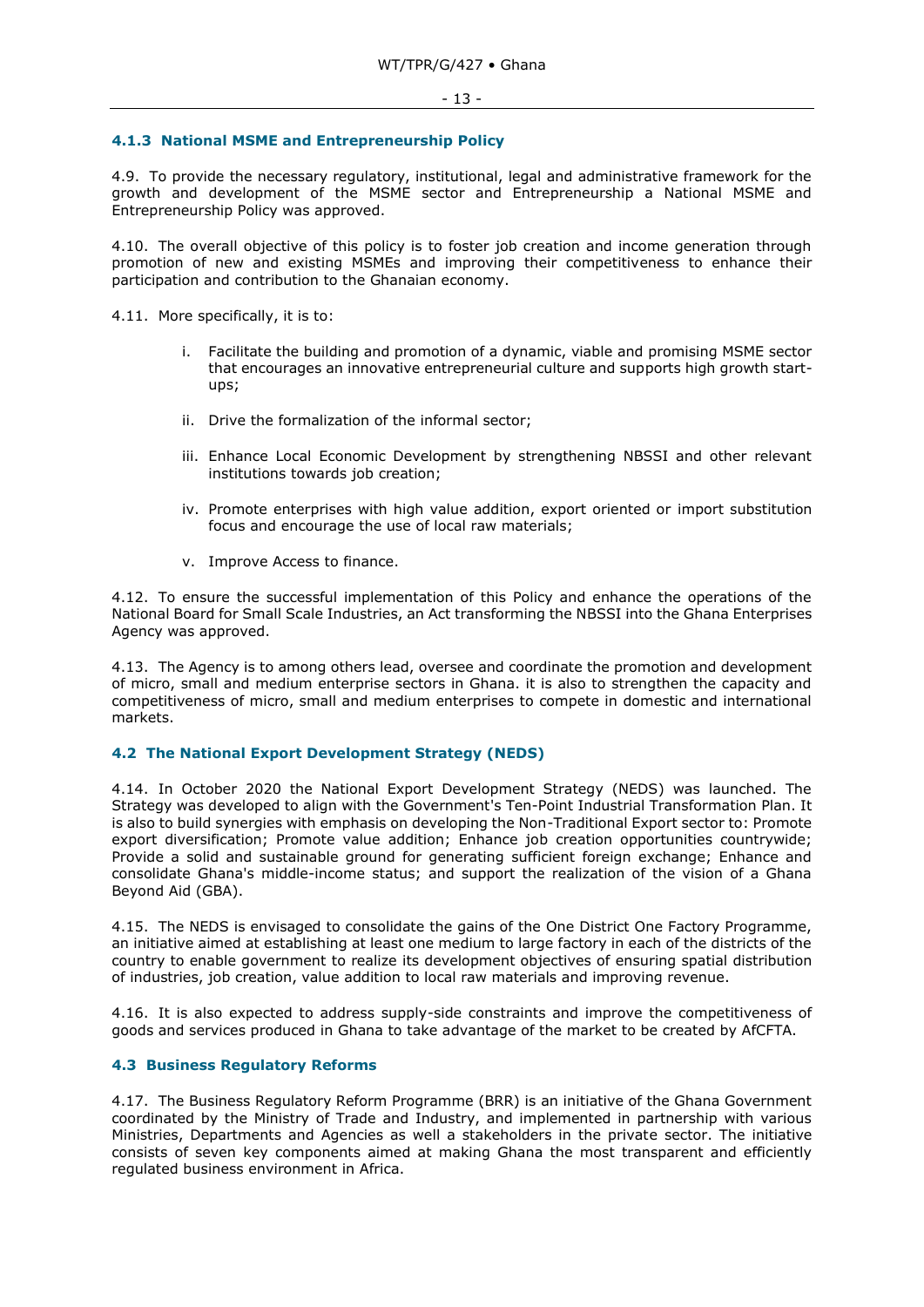## <span id="page-12-0"></span>**4.1.3 National MSME and Entrepreneurship Policy**

4.9. To provide the necessary regulatory, institutional, legal and administrative framework for the growth and development of the MSME sector and Entrepreneurship a National MSME and Entrepreneurship Policy was approved.

4.10. The overall objective of this policy is to foster job creation and income generation through promotion of new and existing MSMEs and improving their competitiveness to enhance their participation and contribution to the Ghanaian economy.

4.11. More specifically, it is to:

- i. Facilitate the building and promotion of a dynamic, viable and promising MSME sector that encourages an innovative entrepreneurial culture and supports high growth startups;
- ii. Drive the formalization of the informal sector;
- iii. Enhance Local Economic Development by strengthening NBSSI and other relevant institutions towards job creation;
- iv. Promote enterprises with high value addition, export oriented or import substitution focus and encourage the use of local raw materials;
- v. Improve Access to finance.

4.12. To ensure the successful implementation of this Policy and enhance the operations of the National Board for Small Scale Industries, an Act transforming the NBSSI into the Ghana Enterprises Agency was approved.

4.13. The Agency is to among others lead, oversee and coordinate the promotion and development of micro, small and medium enterprise sectors in Ghana. it is also to strengthen the capacity and competitiveness of micro, small and medium enterprises to compete in domestic and international markets.

# <span id="page-12-1"></span>**4.2 The National Export Development Strategy (NEDS)**

4.14. In October 2020 the National Export Development Strategy (NEDS) was launched. The Strategy was developed to align with the Government's Ten-Point Industrial Transformation Plan. It is also to build synergies with emphasis on developing the Non-Traditional Export sector to: Promote export diversification; Promote value addition; Enhance job creation opportunities countrywide; Provide a solid and sustainable ground for generating sufficient foreign exchange; Enhance and consolidate Ghana's middle-income status; and support the realization of the vision of a Ghana Beyond Aid (GBA).

4.15. The NEDS is envisaged to consolidate the gains of the One District One Factory Programme, an initiative aimed at establishing at least one medium to large factory in each of the districts of the country to enable government to realize its development objectives of ensuring spatial distribution of industries, job creation, value addition to local raw materials and improving revenue.

4.16. It is also expected to address supply-side constraints and improve the competitiveness of goods and services produced in Ghana to take advantage of the market to be created by AfCFTA.

# <span id="page-12-2"></span>**4.3 Business Regulatory Reforms**

4.17. The Business Regulatory Reform Programme (BRR) is an initiative of the Ghana Government coordinated by the Ministry of Trade and Industry, and implemented in partnership with various Ministries, Departments and Agencies as well a stakeholders in the private sector. The initiative consists of seven key components aimed at making Ghana the most transparent and efficiently regulated business environment in Africa.